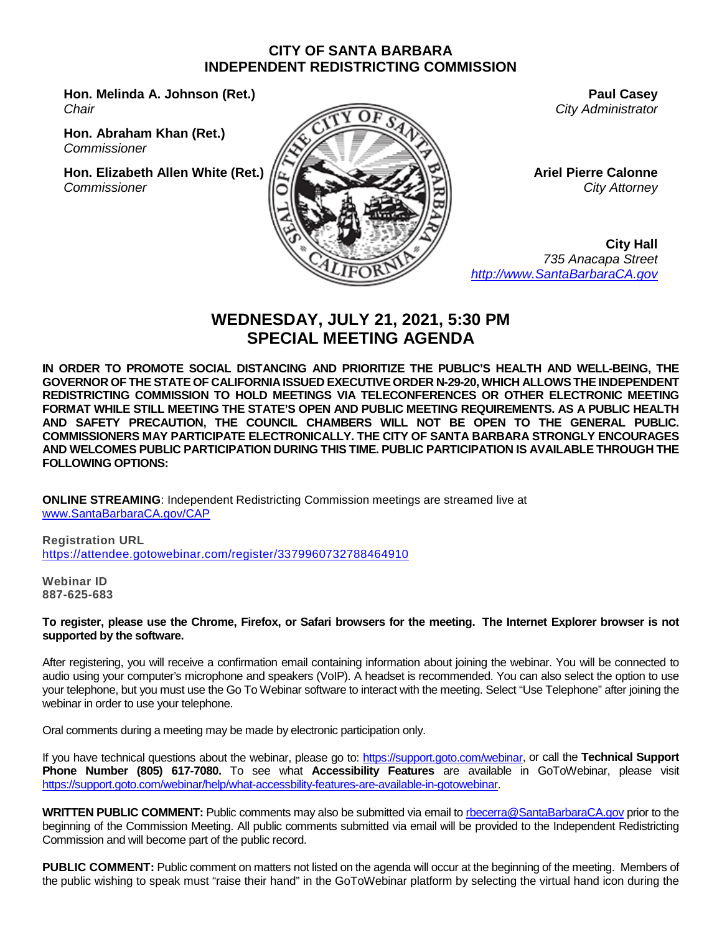#### **CITY OF SANTA BARBARA INDEPENDENT REDISTRICTING COMMISSION**

**Hon. Melinda A. Johnson (Ret.)** *Chair*

**Hon. Abraham Khan (Ret.)** *Commissioner*

**Hon. Elizabeth Allen White (Ret.)** *Commissioner*



**Paul Casey** *City Administrator*

**Ariel Pierre Calonne** *City Attorney*

**City Hall** *735 Anacapa Street [http://www.SantaBarbaraCA.gov](http://www.santabarbaraca.gov/)*

# **WEDNESDAY, JULY 21, 2021, 5:30 PM SPECIAL MEETING AGENDA**

**IN ORDER TO PROMOTE SOCIAL DISTANCING AND PRIORITIZE THE PUBLIC'S HEALTH AND WELL-BEING, THE GOVERNOR OF THE STATE OF CALIFORNIA ISSUED EXECUTIVE ORDER N-29-20, WHICH ALLOWS THE INDEPENDENT REDISTRICTING COMMISSION TO HOLD MEETINGS VIA TELECONFERENCES OR OTHER ELECTRONIC MEETING FORMAT WHILE STILL MEETING THE STATE'S OPEN AND PUBLIC MEETING REQUIREMENTS. AS A PUBLIC HEALTH AND SAFETY PRECAUTION, THE COUNCIL CHAMBERS WILL NOT BE OPEN TO THE GENERAL PUBLIC. COMMISSIONERS MAY PARTICIPATE ELECTRONICALLY. THE CITY OF SANTA BARBARA STRONGLY ENCOURAGES AND WELCOMES PUBLIC PARTICIPATION DURING THIS TIME. PUBLIC PARTICIPATION IS AVAILABLE THROUGH THE FOLLOWING OPTIONS:**

**ONLINE STREAMING**: Independent Redistricting Commission meetings are streamed live at [www.SantaBarbaraCA.gov/CAP](http://www.santabarbaraca.gov/CAP)

**Registration URL** <https://attendee.gotowebinar.com/register/3379960732788464910>

**Webinar ID 887-625-683**

**To register, please use the Chrome, Firefox, or Safari browsers for the meeting. The Internet Explorer browser is not supported by the software.**

After registering, you will receive a confirmation email containing information about joining the webinar. You will be connected to audio using your computer's microphone and speakers (VoIP). A headset is recommended. You can also select the option to use your telephone, but you must use the Go To Webinar software to interact with the meeting. Select "Use Telephone" after joining the webinar in order to use your telephone.

Oral comments during a meeting may be made by electronic participation only.

If you have technical questions about the webinar, please go to: [https://support.goto.com/webinar,](https://support.goto.com/webinar) or call the **Technical Support Phone Number (805) 617-7080.** To see what **Accessibility Features** are available in GoToWebinar, please visit [https://support.goto.com/webinar/help/what-accessbility-features-are-available-in-gotowebinar.](https://support.goto.com/webinar/help/what-accessbility-features-are-available-in-gotowebinar)

**WRITTEN PUBLIC COMMENT:** Public comments may also be submitted via email to [rbecerra@SantaBarbaraCA.gov](mailto:rbecerra@SantaBarbaraCA.gov) prior to the beginning of the Commission Meeting. All public comments submitted via email will be provided to the Independent Redistricting Commission and will become part of the public record.

**PUBLIC COMMENT:** Public comment on matters not listed on the agenda will occur at the beginning of the meeting. Members of the public wishing to speak must "raise their hand" in the GoToWebinar platform by selecting the virtual hand icon during the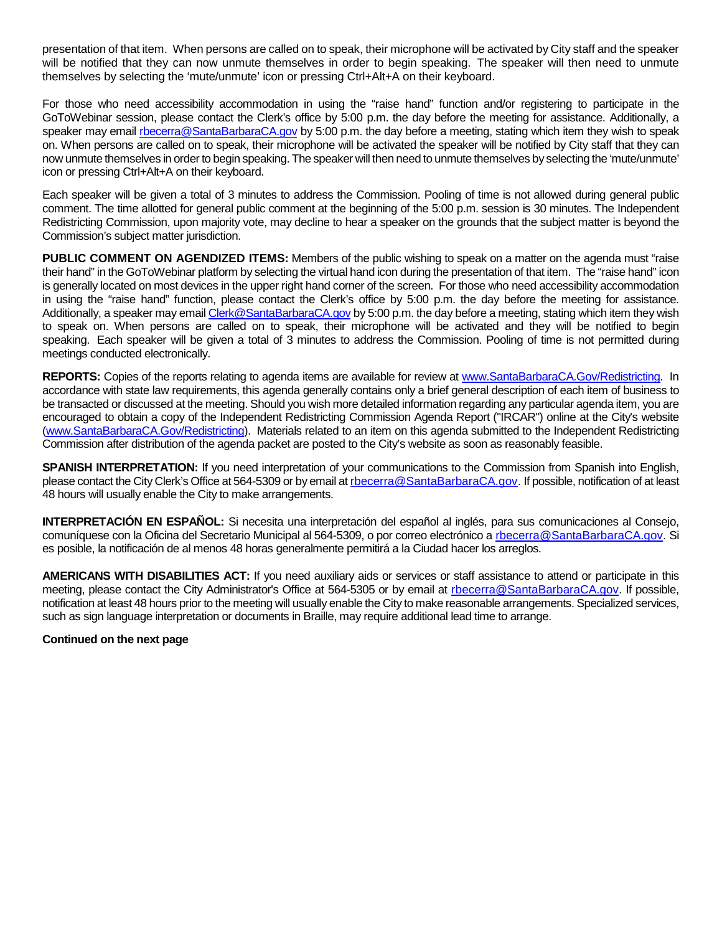presentation of that item. When persons are called on to speak, their microphone will be activated by City staff and the speaker will be notified that they can now unmute themselves in order to begin speaking. The speaker will then need to unmute themselves by selecting the 'mute/unmute' icon or pressing Ctrl+Alt+A on their keyboard.

For those who need accessibility accommodation in using the "raise hand" function and/or registering to participate in the GoToWebinar session, please contact the Clerk's office by 5:00 p.m. the day before the meeting for assistance. Additionally, a speaker may email [rbecerra@SantaBarbaraCA.gov](mailto:rbecerra@SantaBarbaraCA.gov) by 5:00 p.m. the day before a meeting, stating which item they wish to speak on. When persons are called on to speak, their microphone will be activated the speaker will be notified by City staff that they can now unmute themselves in order to begin speaking. The speaker will then need to unmute themselves by selecting the 'mute/unmute' icon or pressing Ctrl+Alt+A on their keyboard.

Each speaker will be given a total of 3 minutes to address the Commission. Pooling of time is not allowed during general public comment. The time allotted for general public comment at the beginning of the 5:00 p.m. session is 30 minutes. The Independent Redistricting Commission, upon majority vote, may decline to hear a speaker on the grounds that the subject matter is beyond the Commission's subject matter jurisdiction.

**PUBLIC COMMENT ON AGENDIZED ITEMS:** Members of the public wishing to speak on a matter on the agenda must "raise their hand" in the GoToWebinar platform by selecting the virtual hand icon during the presentation of that item. The "raise hand" icon is generally located on most devices in the upper right hand corner of the screen. For those who need accessibility accommodation in using the "raise hand" function, please contact the Clerk's office by 5:00 p.m. the day before the meeting for assistance. Additionally, a speaker may email [Clerk@SantaBarbaraCA.gov](mailto:Clerk@SantaBarbaraCA.gov) by 5:00 p.m. the day before a meeting, stating which item they wish to speak on. When persons are called on to speak, their microphone will be activated and they will be notified to begin speaking. Each speaker will be given a total of 3 minutes to address the Commission. Pooling of time is not permitted during meetings conducted electronically.

**REPORTS:** Copies of the reports relating to agenda items are available for review at [www.SantaBarbaraCA.Gov/Redistricting.](http://www.santabarbaraca.gov/Redistricting) In accordance with state law requirements, this agenda generally contains only a brief general description of each item of business to be transacted or discussed at the meeting. Should you wish more detailed information regarding any particular agenda item, you are encouraged to obtain a copy of the Independent Redistricting Commission Agenda Report ("IRCAR") online at the City's website [\(www.SantaBarbaraCA.Gov/Redistricting\)](http://www.santabarbaraca.gov/Redistricting). Materials related to an item on this agenda submitted to the Independent Redistricting Commission after distribution of the agenda packet are posted to the City's website as soon as reasonably feasible.

**SPANISH INTERPRETATION:** If you need interpretation of your communications to the Commission from Spanish into English, please contact the City Clerk's Office at 564-5309 or by email at [rbecerra@SantaBarbaraCA.gov.](mailto:rbecerra@SantaBarbaraCA.gov) If possible, notification of at least 48 hours will usually enable the City to make arrangements.

**INTERPRETACIÓN EN ESPAÑOL:** Si necesita una interpretación del español al inglés, para sus comunicaciones al Consejo, comuníquese con la Oficina del Secretario Municipal al 564-5309, o por correo electrónico a [rbecerra@SantaBarbaraCA.gov.](mailto:rbecerra@SantaBarbaraCA.gov) Si es posible, la notificación de al menos 48 horas generalmente permitirá a la Ciudad hacer los arreglos.

**AMERICANS WITH DISABILITIES ACT:** If you need auxiliary aids or services or staff assistance to attend or participate in this meeting, please contact the City Administrator's Office at 564-5305 or by email at [rbecerra@SantaBarbaraCA.gov.](mailto:rbecerra@SantaBarbaraCA.gov) If possible, notification at least 48 hours prior to the meeting will usually enable the City to make reasonable arrangements. Specialized services, such as sign language interpretation or documents in Braille, may require additional lead time to arrange.

#### **Continued on the next page**